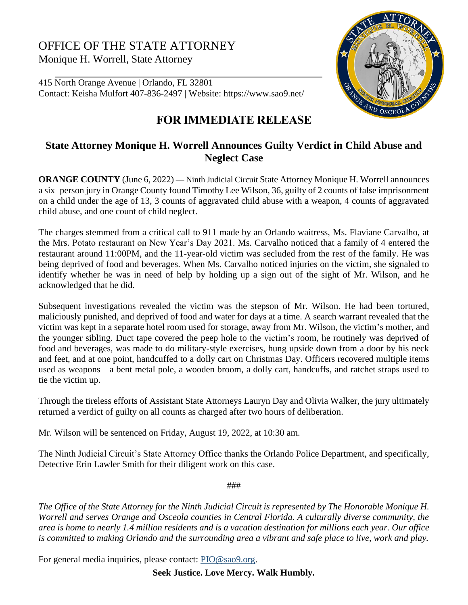## OFFICE OF THE STATE ATTORNEY Monique H. Worrell, State Attorney

415 North Orange Avenue | Orlando, FL 32801 Contact: Keisha Mulfort 407-836-2497 | Website: https://www.sao9.net/



## **FOR IMMEDIATE RELEASE**

## **State Attorney Monique H. Worrell Announces Guilty Verdict in Child Abuse and Neglect Case**

**ORANGE COUNTY** (June 6, 2022) — Ninth Judicial Circuit State Attorney Monique H. Worrell announces a six–person jury in Orange County found Timothy Lee Wilson, 36, guilty of 2 counts of false imprisonment on a child under the age of 13, 3 counts of aggravated child abuse with a weapon, 4 counts of aggravated child abuse, and one count of child neglect.

The charges stemmed from a critical call to 911 made by an Orlando waitress, Ms. Flaviane Carvalho, at the Mrs. Potato restaurant on New Year's Day 2021. Ms. Carvalho noticed that a family of 4 entered the restaurant around 11:00PM, and the 11-year-old victim was secluded from the rest of the family. He was being deprived of food and beverages. When Ms. Carvalho noticed injuries on the victim, she signaled to identify whether he was in need of help by holding up a sign out of the sight of Mr. Wilson, and he acknowledged that he did.

Subsequent investigations revealed the victim was the stepson of Mr. Wilson. He had been tortured, maliciously punished, and deprived of food and water for days at a time. A search warrant revealed that the victim was kept in a separate hotel room used for storage, away from Mr. Wilson, the victim's mother, and the younger sibling. Duct tape covered the peep hole to the victim's room, he routinely was deprived of food and beverages, was made to do military-style exercises, hung upside down from a door by his neck and feet, and at one point, handcuffed to a dolly cart on Christmas Day. Officers recovered multiple items used as weapons—a bent metal pole, a wooden broom, a dolly cart, handcuffs, and ratchet straps used to tie the victim up.

Through the tireless efforts of Assistant State Attorneys Lauryn Day and Olivia Walker, the jury ultimately returned a verdict of guilty on all counts as charged after two hours of deliberation.

Mr. Wilson will be sentenced on Friday, August 19, 2022, at 10:30 am.

The Ninth Judicial Circuit's State Attorney Office thanks the Orlando Police Department, and specifically, Detective Erin Lawler Smith for their diligent work on this case.

###

*The Office of the State Attorney for the Ninth Judicial Circuit is represented by The Honorable Monique H. Worrell and serves Orange and Osceola counties in Central Florida. A culturally diverse community, the area is home to nearly 1.4 million residents and is a vacation destination for millions each year. Our office is committed to making Orlando and the surrounding area a vibrant and safe place to live, work and play.*

For general media inquiries, please contact: [PIO@sao9.org.](mailto:PIO@sao9.org)

**Seek Justice. Love Mercy. Walk Humbly.**